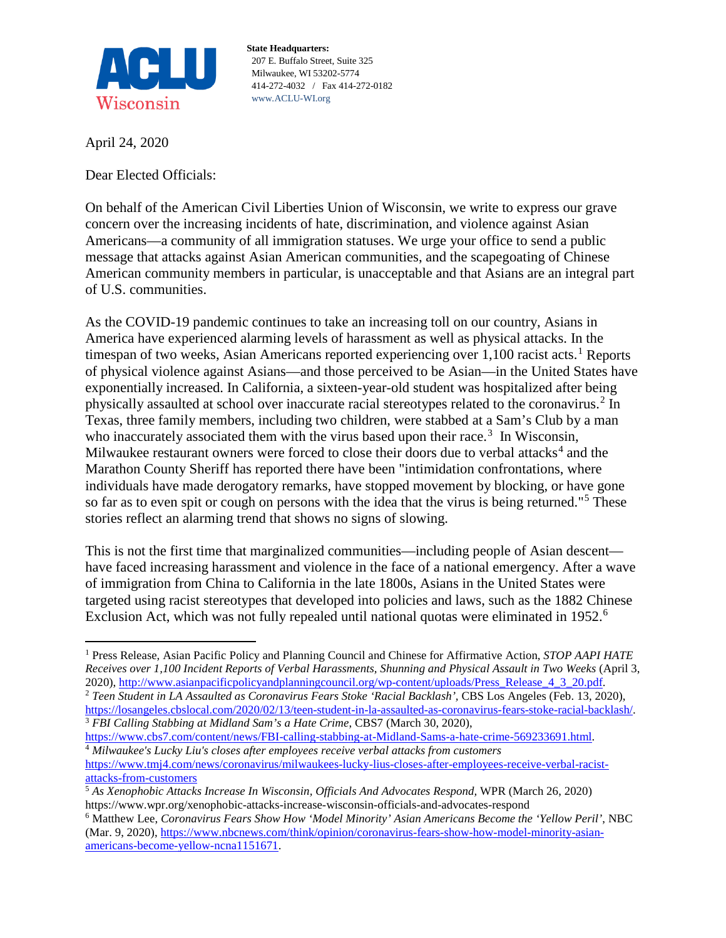

**State Headquarters:** 207 E. Buffalo Street, Suite 325 Milwaukee, WI 53202-5774 414-272-4032 / Fax 414-272-0182 www.ACLU-WI.org

April 24, 2020

Dear Elected Officials:

On behalf of the American Civil Liberties Union of Wisconsin, we write to express our grave concern over the increasing incidents of hate, discrimination, and violence against Asian Americans—a community of all immigration statuses. We urge your office to send a public message that attacks against Asian American communities, and the scapegoating of Chinese American community members in particular, is unacceptable and that Asians are an integral part of U.S. communities.

As the COVID-19 pandemic continues to take an increasing toll on our country, Asians in America have experienced alarming levels of harassment as well as physical attacks. In the timespan of two weeks, Asian Americans reported experiencing over  $1,100$  $1,100$  racist acts.<sup>1</sup> Reports of physical violence against Asians—and those perceived to be Asian—in the United States have exponentially increased. In California, a sixteen-year-old student was hospitalized after being physically assaulted at school over inaccurate racial stereotypes related to the coronavirus.<sup>[2](#page-0-1)</sup> In Texas, three family members, including two children, were stabbed at a Sam's Club by a man who inaccurately associated them with the virus based upon their race.<sup>[3](#page-0-2)</sup> In Wisconsin, Milwaukee restaurant owners were forced to close their doors due to verbal attacks<sup>[4](#page-0-3)</sup> and the Marathon County Sheriff has reported there have been "intimidation confrontations, where individuals have made derogatory remarks, have stopped movement by blocking, or have gone so far as to even spit or cough on persons with the idea that the virus is being returned."[5](#page-0-4) These stories reflect an alarming trend that shows no signs of slowing.

This is not the first time that marginalized communities—including people of Asian descent have faced increasing harassment and violence in the face of a national emergency. After a wave of immigration from China to California in the late 1800s, Asians in the United States were targeted using racist stereotypes that developed into policies and laws, such as the 1882 Chinese Exclusion Act, which was not fully repealed until national quotas were eliminated in 1952.<sup>[6](#page-0-5)</sup>

<span id="page-0-0"></span> <sup>1</sup> Press Release, Asian Pacific Policy and Planning Council and Chinese for Affirmative Action, *STOP AAPI HATE Receives over 1,100 Incident Reports of Verbal Harassments, Shunning and Physical Assault in Two Weeks* (April 3, 2020), [http://www.asianpacificpolicyandplanningcouncil.org/wp-content/uploads/Press\\_Release\\_4\\_3\\_20.pdf.](http://www.asianpacificpolicyandplanningcouncil.org/wp-content/uploads/Press_Release_4_3_20.pdf)

<span id="page-0-1"></span><sup>2</sup> *Teen Student in LA Assaulted as Coronavirus Fears Stoke 'Racial Backlash',* CBS Los Angeles (Feb. 13, 2020), [https://losangeles.cbslocal.com/2020/02/13/teen-student-in-la-assaulted-as-coronavirus-fears-stoke-racial-backlash/.](https://losangeles.cbslocal.com/2020/02/13/teen-student-in-la-assaulted-as-coronavirus-fears-stoke-racial-backlash/) 3 *FBI Calling Stabbing at Midland Sam's a Hate Crime*, CBS7 (March 30, 2020),

<span id="page-0-3"></span><span id="page-0-2"></span>[https://www.cbs7.com/content/news/FBI-calling-stabbing-at-Midland-Sams-a-hate-crime-569233691.html.](https://www.cbs7.com/content/news/FBI-calling-stabbing-at-Midland-Sams-a-hate-crime-569233691.html) 4 *Milwaukee's Lucky Liu's closes after employees receive verbal attacks from customers*

[https://www.tmj4.com/news/coronavirus/milwaukees-lucky-lius-closes-after-employees-receive-verbal-racist](https://www.tmj4.com/news/coronavirus/milwaukees-lucky-lius-closes-after-employees-receive-verbal-racist-attacks-from-customers)[attacks-from-customers](https://www.tmj4.com/news/coronavirus/milwaukees-lucky-lius-closes-after-employees-receive-verbal-racist-attacks-from-customers)

<span id="page-0-4"></span><sup>5</sup> *As Xenophobic Attacks Increase In Wisconsin, Officials And Advocates Respond,* WPR (March 26, 2020) https://www.wpr.org/xenophobic-attacks-increase-wisconsin-officials-and-advocates-respond

<span id="page-0-5"></span><sup>6</sup> Matthew Lee, *Coronavirus Fears Show How 'Model Minority' Asian Americans Become the 'Yellow Peril'*, NBC (Mar. 9, 2020), [https://www.nbcnews.com/think/opinion/coronavirus-fears-show-how-model-minority-asian](https://www.nbcnews.com/think/opinion/coronavirus-fears-show-how-model-minority-asian-americans-become-yellow-ncna1151671)[americans-become-yellow-ncna1151671.](https://www.nbcnews.com/think/opinion/coronavirus-fears-show-how-model-minority-asian-americans-become-yellow-ncna1151671)